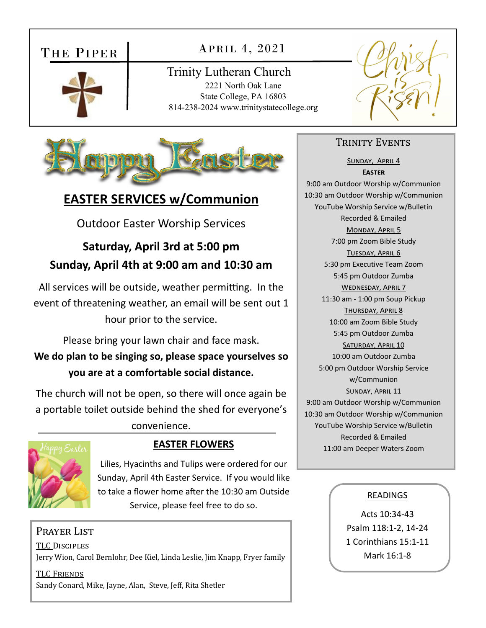# THE PIPER



### APRIL 4, 2021

Trinity Lutheran Church 2221 North Oak Lane State College, PA 16803 814-238-2024 www.trinitystatecollege.org



# **EASTER SERVICES w/Communion**

Outdoor Easter Worship Services

# **Saturday, April 3rd at 5:00 pm Sunday, April 4th at 9:00 am and 10:30 am**

All services will be outside, weather permitting. In the event of threatening weather, an email will be sent out 1 hour prior to the service.

Please bring your lawn chair and face mask. **We do plan to be singing so, please space yourselves so you are at a comfortable social distance.**

The church will not be open, so there will once again be a portable toilet outside behind the shed for everyone's

convenience.



Lilies, Hyacinths and Tulips were ordered for our Sunday, April 4th Easter Service. If you would like to take a flower home after the 10:30 am Outside Service, please feel free to do so.

### Prayer List

TLC DISCIPLES Jerry Wion, Carol Bernlohr, Dee Kiel, Linda Leslie, Jim Knapp, Fryer family

TLC FRIENDS Sandy Conard, Mike, Jayne, Alan, Steve, Jeff, Rita Shetler

#### TRINITY EVENTS

SUNDAY, APRIL 4 **EASTER** 9:00 am Outdoor Worship w/Communion 10:30 am Outdoor Worship w/Communion YouTube Worship Service w/Bulletin Recorded & Emailed MONDAY, APRIL 5 7:00 pm Zoom Bible Study TUESDAY, APRIL 6 5:30 pm Executive Team Zoom 5:45 pm Outdoor Zumba WEDNESDAY, APRIL 7 11:30 am ‐ 1:00 pm Soup Pickup THURSDAY, APRIL 8 10:00 am Zoom Bible Study 5:45 pm Outdoor Zumba SATURDAY, APRIL 10 10:00 am Outdoor Zumba 5:00 pm Outdoor Worship Service w/Communion SUNDAY, APRIL 11 9:00 am Outdoor Worship w/Communion 10:30 am Outdoor Worship w/Communion YouTube Worship Service w/Bulletin Recorded & Emailed **EASTER FLOWERS** 11:00 am Deeper Waters Zoom

#### READINGS

Acts 10:34‐43 Psalm 118:1‐2, 14‐24 1 Corinthians 15:1‐11 Mark 16:1‐8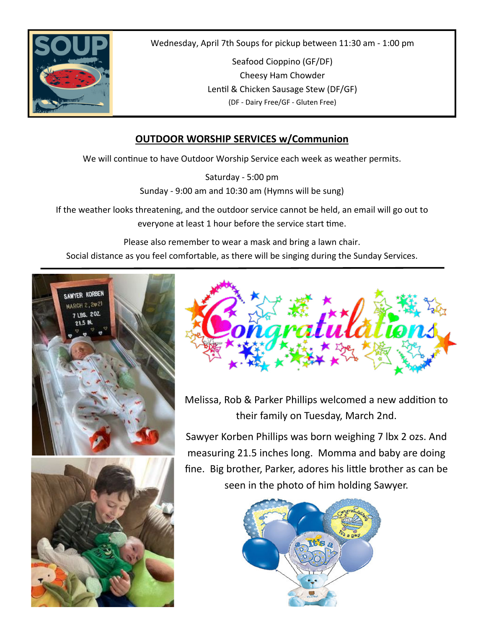

Wednesday, April 7th Soups for pickup between 11:30 am ‐ 1:00 pm

Seafood Cioppino (GF/DF) Cheesy Ham Chowder Lentil & Chicken Sausage Stew (DF/GF) (DF ‐ Dairy Free/GF ‐ Gluten Free)

### **OUTDOOR WORSHIP SERVICES w/Communion**

We will continue to have Outdoor Worship Service each week as weather permits.

Saturday ‐ 5:00 pm Sunday ‐ 9:00 am and 10:30 am (Hymns will be sung)

If the weather looks threatening, and the outdoor service cannot be held, an email will go out to everyone at least 1 hour before the service start time.

Please also remember to wear a mask and bring a lawn chair.

Social distance as you feel comfortable, as there will be singing during the Sunday Services.





Melissa, Rob & Parker Phillips welcomed a new addition to their family on Tuesday, March 2nd.

Sawyer Korben Phillips was born weighing 7 lbx 2 ozs. And measuring 21.5 inches long. Momma and baby are doing fine. Big brother, Parker, adores his little brother as can be seen in the photo of him holding Sawyer.

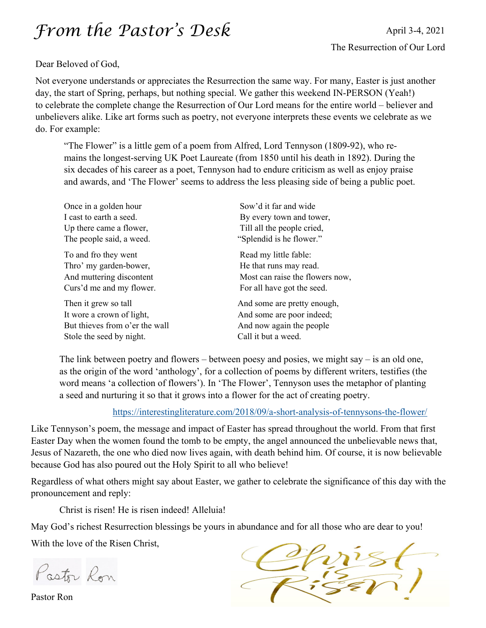# *From the Pastor's Desk*

#### Dear Beloved of God,

Not everyone understands or appreciates the Resurrection the same way. For many, Easter is just another day, the start of Spring, perhaps, but nothing special. We gather this weekend IN-PERSON (Yeah!) to celebrate the complete change the Resurrection of Our Lord means for the entire world – believer and unbelievers alike. Like art forms such as poetry, not everyone interprets these events we celebrate as we do. For example:

"The Flower" is a little gem of a poem from Alfred, Lord Tennyson (1809-92), who remains the longest-serving UK Poet Laureate (from 1850 until his death in 1892). During the six decades of his career as a poet, Tennyson had to endure criticism as well as enjoy praise and awards, and 'The Flower' seems to address the less pleasing side of being a public poet.

| Once in a golden hour          | Sow'd it far and wide           |
|--------------------------------|---------------------------------|
| I cast to earth a seed.        | By every town and tower,        |
| Up there came a flower,        | Till all the people cried,      |
| The people said, a weed.       | "Splendid is he flower."        |
| To and fro they went           | Read my little fable:           |
| Thro' my garden-bower,         | He that runs may read.          |
| And muttering discontent       | Most can raise the flowers now, |
| Curs'd me and my flower.       | For all have got the seed.      |
| Then it grew so tall           | And some are pretty enough,     |
| It wore a crown of light,      | And some are poor indeed;       |
| But thieves from o'er the wall | And now again the people        |
| Stole the seed by night.       | Call it but a weed.             |

The link between poetry and flowers – between poesy and posies, we might say – is an old one, as the origin of the word 'anthology', for a collection of poems by different writers, testifies (the word means 'a collection of flowers'). In 'The Flower', Tennyson uses the metaphor of planting a seed and nurturing it so that it grows into a flower for the act of creating poetry.

https://interestingliterature.com/2018/09/a-short-analysis-of-tennysons-the-flower/

Like Tennyson's poem, the message and impact of Easter has spread throughout the world. From that first Easter Day when the women found the tomb to be empty, the angel announced the unbelievable news that, Jesus of Nazareth, the one who died now lives again, with death behind him. Of course, it is now believable because God has also poured out the Holy Spirit to all who believe!

Regardless of what others might say about Easter, we gather to celebrate the significance of this day with the pronouncement and reply:

Christ is risen! He is risen indeed! Alleluia!

May God's richest Resurrection blessings be yours in abundance and for all those who are dear to you!

With the love of the Risen Christ,

Pastor Ron

Pastor Ron